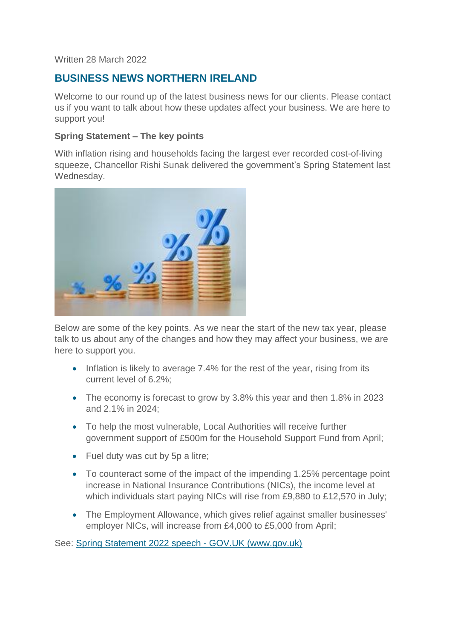#### Written 28 March 2022

# **BUSINESS NEWS NORTHERN IRELAND**

Welcome to our round up of the latest business news for our clients. Please contact us if you want to talk about how these updates affect your business. We are here to support you!

#### **Spring Statement – The key points**

With inflation rising and households facing the largest ever recorded cost-of-living squeeze, Chancellor Rishi Sunak delivered the government's Spring Statement last Wednesday.



Below are some of the key points. As we near the start of the new tax year, please talk to us about any of the changes and how they may affect your business, we are here to support you.

- Inflation is likely to average 7.4% for the rest of the year, rising from its current level of 6.2%;
- The economy is forecast to grow by 3.8% this year and then 1.8% in 2023 and 2.1% in 2024;
- To help the most vulnerable, Local Authorities will receive further government support of £500m for the Household Support Fund from April;
- Fuel duty was cut by 5p a litre;
- To counteract some of the impact of the impending 1.25% percentage point increase in National Insurance Contributions (NICs), the income level at which individuals start paying NICs will rise from £9,880 to £12,570 in July;
- The Employment Allowance, which gives relief against smaller businesses' employer NICs, will increase from £4,000 to £5,000 from April;

See: [Spring Statement 2022 speech -](https://www.gov.uk/government/speeches/spring-statement-2022-speech) GOV.UK (www.gov.uk)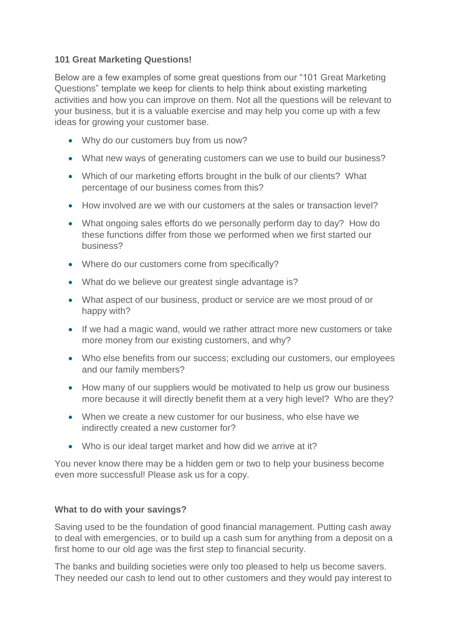# **101 Great Marketing Questions!**

Below are a few examples of some great questions from our "101 Great Marketing Questions" template we keep for clients to help think about existing marketing activities and how you can improve on them. Not all the questions will be relevant to your business, but it is a valuable exercise and may help you come up with a few ideas for growing your customer base.

- Why do our customers buy from us now?
- What new ways of generating customers can we use to build our business?
- Which of our marketing efforts brought in the bulk of our clients? What percentage of our business comes from this?
- How involved are we with our customers at the sales or transaction level?
- What ongoing sales efforts do we personally perform day to day? How do these functions differ from those we performed when we first started our business?
- Where do our customers come from specifically?
- What do we believe our greatest single advantage is?
- What aspect of our business, product or service are we most proud of or happy with?
- If we had a magic wand, would we rather attract more new customers or take more money from our existing customers, and why?
- Who else benefits from our success; excluding our customers, our employees and our family members?
- How many of our suppliers would be motivated to help us grow our business more because it will directly benefit them at a very high level? Who are they?
- When we create a new customer for our business, who else have we indirectly created a new customer for?
- Who is our ideal target market and how did we arrive at it?

You never know there may be a hidden gem or two to help your business become even more successful! Please ask us for a copy.

# **What to do with your savings?**

Saving used to be the foundation of good financial management. Putting cash away to deal with emergencies, or to build up a cash sum for anything from a deposit on a first home to our old age was the first step to financial security.

The banks and building societies were only too pleased to help us become savers. They needed our cash to lend out to other customers and they would pay interest to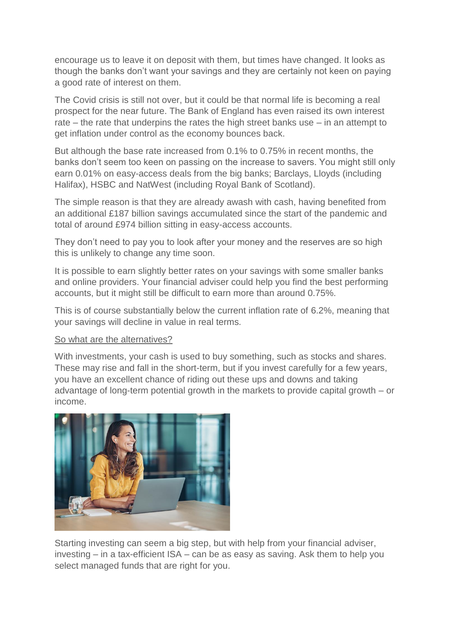encourage us to leave it on deposit with them, but times have changed. It looks as though the banks don't want your savings and they are certainly not keen on paying a good rate of interest on them.

The Covid crisis is still not over, but it could be that normal life is becoming a real prospect for the near future. The Bank of England has even raised its own interest rate – the rate that underpins the rates the high street banks use – in an attempt to get inflation under control as the economy bounces back.

But although the base rate increased from 0.1% to 0.75% in recent months, the banks don't seem too keen on passing on the increase to savers. You might still only earn 0.01% on easy-access deals from the big banks; Barclays, Lloyds (including Halifax), HSBC and NatWest (including Royal Bank of Scotland).

The simple reason is that they are already awash with cash, having benefited from an additional £187 billion savings accumulated since the start of the pandemic and total of around £974 billion sitting in easy-access accounts.

They don't need to pay you to look after your money and the reserves are so high this is unlikely to change any time soon.

It is possible to earn slightly better rates on your savings with some smaller banks and online providers. Your financial adviser could help you find the best performing accounts, but it might still be difficult to earn more than around 0.75%.

This is of course substantially below the current inflation rate of 6.2%, meaning that your savings will decline in value in real terms.

#### So what are the alternatives?

With investments, your cash is used to buy something, such as stocks and shares. These may rise and fall in the short-term, but if you invest carefully for a few years, you have an excellent chance of riding out these ups and downs and taking advantage of long-term potential growth in the markets to provide capital growth – or income.



Starting investing can seem a big step, but with help from your financial adviser, investing – in a tax-efficient ISA – can be as easy as saving. Ask them to help you select managed funds that are right for you.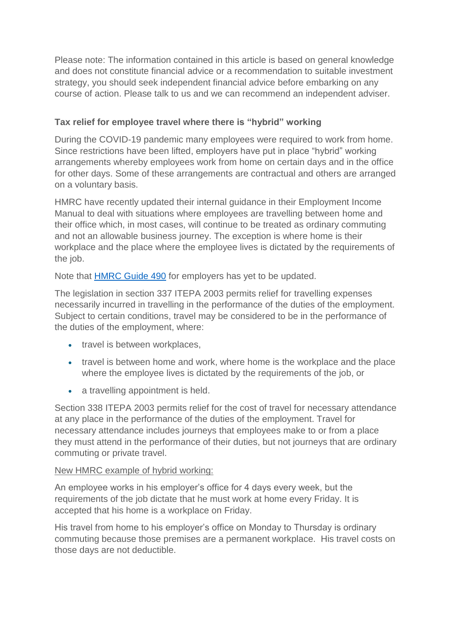Please note: The information contained in this article is based on general knowledge and does not constitute financial advice or a recommendation to suitable investment strategy, you should seek independent financial advice before embarking on any course of action. Please talk to us and we can recommend an independent adviser.

# **Tax relief for employee travel where there is "hybrid" working**

During the COVID-19 pandemic many employees were required to work from home. Since restrictions have been lifted, employers have put in place "hybrid" working arrangements whereby employees work from home on certain days and in the office for other days. Some of these arrangements are contractual and others are arranged on a voluntary basis.

HMRC have recently updated their internal guidance in their Employment Income Manual to deal with situations where employees are travelling between home and their office which, in most cases, will continue to be treated as ordinary commuting and not an allowable business journey. The exception is where home is their workplace and the place where the employee lives is dictated by the requirements of the job.

Note that [HMRC Guide 490](https://www.gov.uk/government/collections/tax-and-national-insurance-contributions-for-employee-travel-490) for employers has yet to be updated.

The legislation in section 337 ITEPA 2003 permits relief for travelling expenses necessarily incurred in travelling in the performance of the duties of the employment. Subject to certain conditions, travel may be considered to be in the performance of the duties of the employment, where:

- travel is between workplaces,
- travel is between home and work, where home is the workplace and the place where the employee lives is dictated by the requirements of the job, or
- a travelling appointment is held.

Section 338 ITEPA 2003 permits relief for the cost of travel for necessary attendance at any place in the performance of the duties of the employment. Travel for necessary attendance includes journeys that employees make to or from a place they must attend in the performance of their duties, but not journeys that are ordinary commuting or private travel.

# New HMRC example of hybrid working:

An employee works in his employer's office for 4 days every week, but the requirements of the job dictate that he must work at home every Friday. It is accepted that his home is a workplace on Friday.

His travel from home to his employer's office on Monday to Thursday is ordinary commuting because those premises are a permanent workplace. His travel costs on those days are not deductible.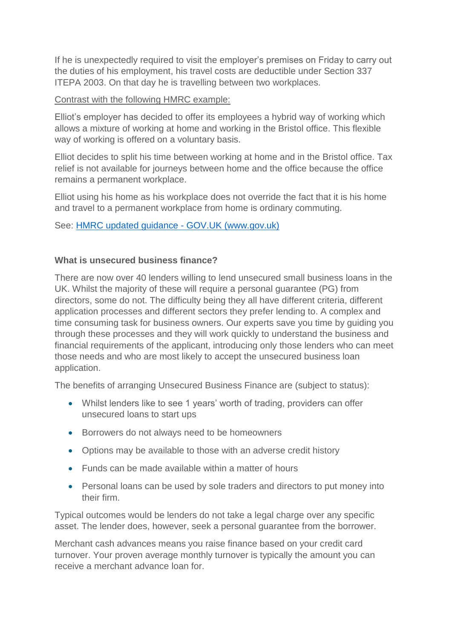If he is unexpectedly required to visit the employer's premises on Friday to carry out the duties of his employment, his travel costs are deductible under Section 337 ITEPA 2003. On that day he is travelling between two workplaces.

### Contrast with the following HMRC example:

Elliot's employer has decided to offer its employees a hybrid way of working which allows a mixture of working at home and working in the Bristol office. This flexible way of working is offered on a voluntary basis.

Elliot decides to split his time between working at home and in the Bristol office. Tax relief is not available for journeys between home and the office because the office remains a permanent workplace.

Elliot using his home as his workplace does not override the fact that it is his home and travel to a permanent workplace from home is ordinary commuting.

# See: [HMRC updated guidance -](https://www.gov.uk/hmrc-internal-manuals/employment-income-manual/eim32170) GOV.UK (www.gov.uk)

#### **What is unsecured business finance?**

There are now over 40 lenders willing to lend unsecured small business loans in the UK. Whilst the majority of these will require a personal guarantee (PG) from directors, some do not. The difficulty being they all have different criteria, different application processes and different sectors they prefer lending to. A complex and time consuming task for business owners. Our experts save you time by guiding you through these processes and they will work quickly to understand the business and financial requirements of the applicant, introducing only those lenders who can meet those needs and who are most likely to accept the unsecured business loan application.

The benefits of arranging Unsecured Business Finance are (subject to status):

- Whilst lenders like to see 1 years' worth of trading, providers can offer unsecured loans to start ups
- Borrowers do not always need to be homeowners
- Options may be available to those with an adverse credit history
- Funds can be made available within a matter of hours
- Personal loans can be used by sole traders and directors to put money into their firm.

Typical outcomes would be lenders do not take a legal charge over any specific asset. The lender does, however, seek a personal guarantee from the borrower.

Merchant cash advances means you raise finance based on your credit card turnover. Your proven average monthly turnover is typically the amount you can receive a merchant advance loan for.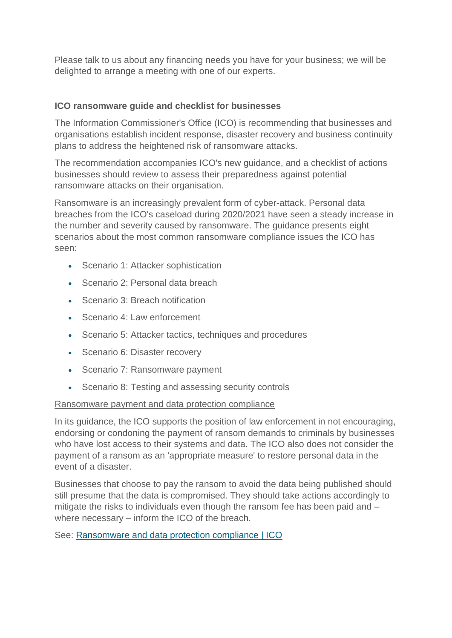Please talk to us about any financing needs you have for your business; we will be delighted to arrange a meeting with one of our experts.

#### **ICO ransomware guide and checklist for businesses**

The Information Commissioner's Office (ICO) is recommending that businesses and organisations establish incident response, disaster recovery and business continuity plans to address the heightened risk of ransomware attacks.

The recommendation accompanies ICO's new guidance, and a checklist of actions businesses should review to assess their preparedness against potential ransomware attacks on their organisation.

Ransomware is an increasingly prevalent form of cyber-attack. Personal data breaches from the ICO's caseload during 2020/2021 have seen a steady increase in the number and severity caused by ransomware. The guidance presents eight scenarios about the most common ransomware compliance issues the ICO has seen:

- Scenario 1: Attacker sophistication
- Scenario 2: Personal data breach
- Scenario 3: Breach notification
- Scenario 4: Law enforcement
- Scenario 5: Attacker tactics, techniques and procedures
- Scenario 6: Disaster recovery
- Scenario 7: Ransomware payment
- Scenario 8: Testing and assessing security controls

#### Ransomware payment and data protection compliance

In its guidance, the ICO supports the position of law enforcement in not encouraging, endorsing or condoning the payment of ransom demands to criminals by businesses who have lost access to their systems and data. The ICO also does not consider the payment of a ransom as an 'appropriate measure' to restore personal data in the event of a disaster.

Businesses that choose to pay the ransom to avoid the data being published should still presume that the data is compromised. They should take actions accordingly to mitigate the risks to individuals even though the ransom fee has been paid and – where necessary – inform the ICO of the breach.

See: [Ransomware and data protection compliance | ICO](https://ico.org.uk/for-organisations/guide-to-data-protection/guide-to-the-general-data-protection-regulation-gdpr/security/ransomware-and-data-protection-compliance)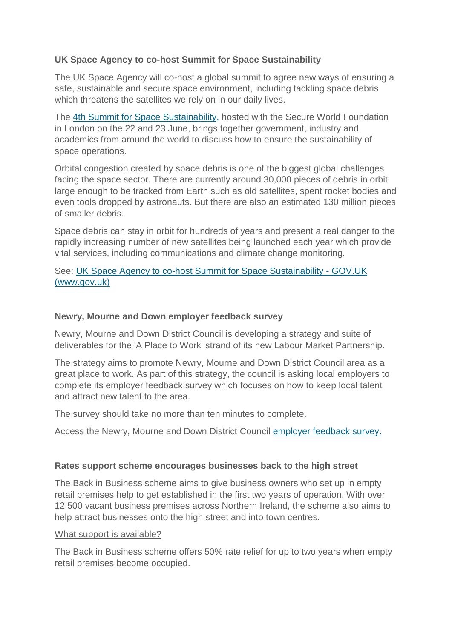# **UK Space Agency to co-host Summit for Space Sustainability**

The UK Space Agency will co-host a global summit to agree new ways of ensuring a safe, sustainable and secure space environment, including tackling space debris which threatens the satellites we rely on in our daily lives.

The [4th Summit for Space Sustainability,](https://swfsummit.org/) hosted with the Secure World Foundation in London on the 22 and 23 June, brings together government, industry and academics from around the world to discuss how to ensure the sustainability of space operations.

Orbital congestion created by space debris is one of the biggest global challenges facing the space sector. There are currently around 30,000 pieces of debris in orbit large enough to be tracked from Earth such as old satellites, spent rocket bodies and even tools dropped by astronauts. But there are also an estimated 130 million pieces of smaller debris.

Space debris can stay in orbit for hundreds of years and present a real danger to the rapidly increasing number of new satellites being launched each year which provide vital services, including communications and climate change monitoring.

# See: [UK Space Agency to co-host Summit for Space Sustainability -](https://www.gov.uk/government/news/uk-space-agency-to-co-host-summit-for-space-sustainability) GOV.UK [\(www.gov.uk\)](https://www.gov.uk/government/news/uk-space-agency-to-co-host-summit-for-space-sustainability)

#### **Newry, Mourne and Down employer feedback survey**

Newry, Mourne and Down District Council is developing a strategy and suite of deliverables for the 'A Place to Work' strand of its new Labour Market Partnership.

The strategy aims to promote Newry, Mourne and Down District Council area as a great place to work. As part of this strategy, the council is asking local employers to complete its employer feedback survey which focuses on how to keep local talent and attract new talent to the area.

The survey should take no more than ten minutes to complete.

Access the Newry, Mourne and Down District Council [employer feedback survey.](https://www.surveymonkey.co.uk/r/2MN8T7S)

#### **Rates support scheme encourages businesses back to the high street**

The Back in Business scheme aims to give business owners who set up in empty retail premises help to get established in the first two years of operation. With over 12,500 vacant business premises across Northern Ireland, the scheme also aims to help attract businesses onto the high street and into town centres.

#### What support is available?

The Back in Business scheme offers 50% rate relief for up to two years when empty retail premises become occupied.